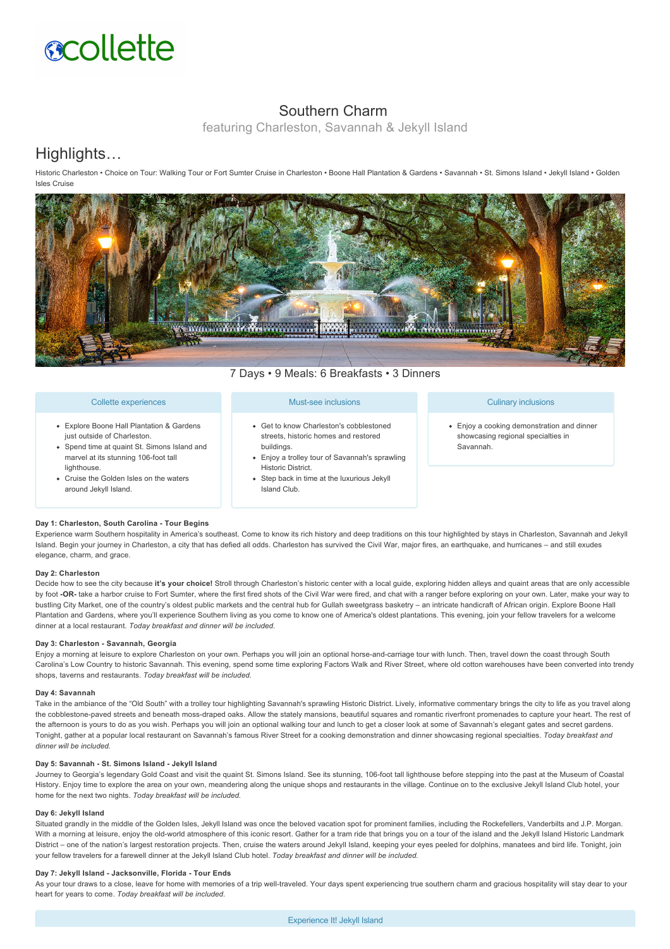

## Southern Charm

featuring Charleston, Savannah & Jekyll Island

# Highlights…

Historic Charleston • Choice on Tour: Walking Tour or Fort Sumter Cruise in Charleston • Boone Hall Plantation & Gardens • Savannah • St. Simons Island • Jekyll Island • Golden Isles Cruise



7 Days • 9 Meals: 6 Breakfasts • 3 Dinners

## Collette experiences

- Explore Boone Hall Plantation & Gardens just outside of Charleston.
- Spend time at quaint St. Simons Island and marvel at its stunning 106-foot tall lighthouse.
- Cruise the Golden Isles on the waters around Jekyll Island.

### Must-see inclusions

- Get to know Charleston's cobblestoned streets, historic homes and restored buildings.
- Enjoy a trolley tour of Savannah's sprawling Historic District.
- Step back in time at the luxurious Jekyll Island Club.

### Culinary inclusions

Enjoy a cooking demonstration and dinner showcasing regional specialties in Savannah.

## **Day 1: Charleston, South Carolina Tour Begins**

Experience warm Southern hospitality in America's southeast. Come to know its rich history and deep traditions on this tour highlighted by stays in Charleston, Savannah and Jekyll Island. Begin your journey in Charleston, a city that has defied all odds. Charleston has survived the Civil War, major fires, an earthquake, and hurricanes – and still exudes elegance, charm, and grace.

## **Day 2: Charleston**

Decide how to see the city because **it's your choice!** Stroll through Charleston's historic center with a local guide, exploring hidden alleys and quaint areas that are only accessible by foot -OR- take a harbor cruise to Fort Sumter, where the first fired shots of the Civil War were fired, and chat with a ranger before exploring on your own. Later, make your way to bustling City Market, one of the country's oldest public markets and the central hub for Gullah sweetgrass basketry – an intricate handicraft of African origin. Explore Boone Hall Plantation and Gardens, where you'll experience Southern living as you come to know one of America's oldest plantations. This evening, join your fellow travelers for a welcome dinner at a local restaurant. *Today breakfast and dinner will be included.*

#### Day 3: Charleston - Savannah, Georgia

Enjoy a morning at leisure to explore Charleston on your own. Perhaps you will join an optional horse-and-carriage tour with lunch. Then, travel down the coast through South Carolina's Low Country to historic Savannah. This evening, spend some time exploring Factors Walk and River Street, where old cotton warehouses have been converted into trendy shops, taverns and restaurants. *Today breakfast will be included.*

#### **Day 4: Savannah**

Take in the ambiance of the "Old South" with a trolley tour highlighting Savannah's sprawling Historic District. Lively, informative commentary brings the city to life as you travel along the cobblestone-paved streets and beneath moss-draped oaks. Allow the stately mansions, beautiful squares and romantic riverfront promenades to capture your heart. The rest of the afternoon is yours to do as you wish. Perhaps you will join an optional walking tour and lunch to get a closer look at some of Savannah's elegant gates and secret gardens. Tonight, gather at a popular local restaurant on Savannah's famous River Street for a cooking demonstration and dinner showcasing regional specialties. *Today breakfast and dinner will be included.*

## Day 5: Savannah - St. Simons Island - Jekyll Island

Journey to Georgia's legendary Gold Coast and visit the quaint St. Simons Island. See its stunning, 106-foot tall lighthouse before stepping into the past at the Museum of Coastal History. Enjoy time to explore the area on your own, meandering along the unique shops and restaurants in the village. Continue on to the exclusive Jekyll Island Club hotel, your home for the next two nights. *Today breakfast will be included.*

## **Day 6: Jekyll Island**

Situated grandly in the middle of the Golden Isles, Jekyll Island was once the beloved vacation spot for prominent families, including the Rockefellers, Vanderbilts and J.P. Morgan. With a morning at leisure, enjoy the old-world atmosphere of this iconic resort. Gather for a tram ride that brings you on a tour of the island and the Jekyll Island Historic Landmark District – one of the nation's largest restoration projects. Then, cruise the waters around Jekyll Island, keeping your eyes peeled for dolphins, manatees and bird life. Tonight, join your fellow travelers for a farewell dinner at the Jekyll Island Club hotel. *Today breakfast and dinner will be included.*

#### Day 7: Jekyll Island - Jacksonville, Florida - Tour Ends

As your tour draws to a close, leave for home with memories of a trip well-traveled. Your days spent experiencing true southern charm and gracious hospitality will stay dear to your heart for years to come. *Today breakfast will be included.*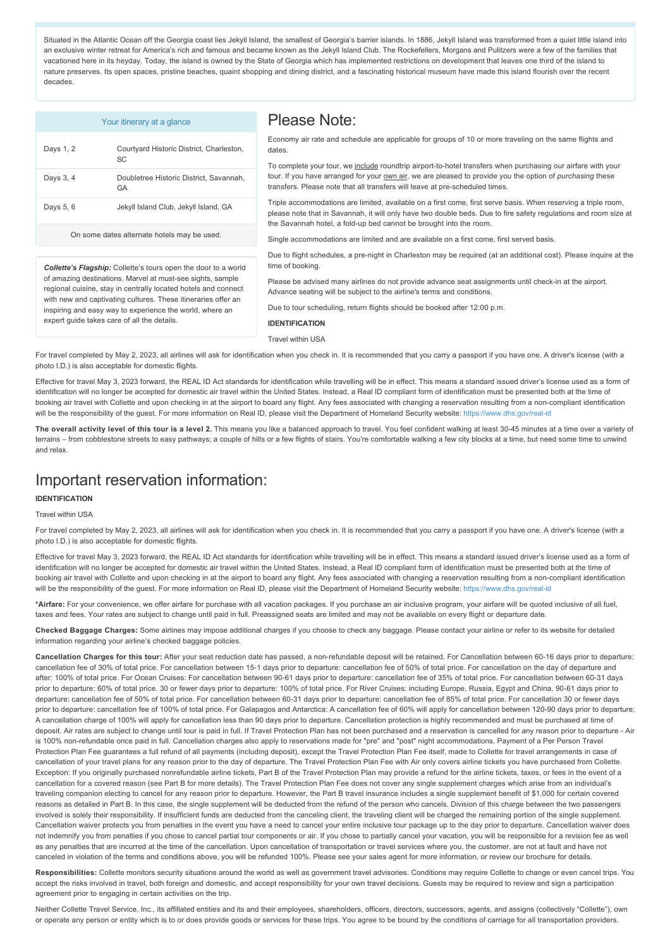Situated in the Atlantic Ocean off the Georgia coast lies Jekyll Island, the smallest of Georgia's barrier islands. In 1886, Jekyll Island was transformed from a quiet little island into an exclusive winter retreat for America's rich and famous and became known as the Jekyll Island Club. The Rockefellers, Morgans and Pulitzers were a few of the families that vacationed here in its heyday. Today, the island is owned by the State of Georgia which has implemented restrictions on development that leaves one third of the island to nature preserves. Its open spaces, pristine beaches, quaint shopping and dining district, and a fascinating historical museum have made this island flourish over the recent decades.

Please Note:

|           | Your itinerary at a glance                            |
|-----------|-------------------------------------------------------|
| Days 1, 2 | Courtyard Historic District, Charleston,<br><b>SC</b> |
| Days 3, 4 | Doubletree Historic District, Savannah.<br>GA         |
| Days 5, 6 | Jekyll Island Club, Jekyll Island, GA                 |
|           |                                                       |

On some dates alternate hotels may be used.

*Collette's Flagship:* Collette's tours open the door to a world of amazing destinations. Marvel at must-see sights, sample regional cuisine, stay in centrally located hotels and connect with new and captivating cultures. These itineraries offer an inspiring and easy way to experience the world, where an

expert quide takes care of all the details.

Economy air rate and schedule are applicable for groups of 10 or more traveling on the same flights and dates.

To complete your tour, we include roundtrip airport-to-hotel transfers when purchasing our airfare with your tour. If you have arranged for your own air, we are pleased to provide you the option of *purchasing* these transfers. Please note that all transfers will leave at pre-scheduled times.

Triple accommodations are limited, available on a first come, first serve basis. When reserving a triple room, please note that in Savannah, it will only have two double beds. Due to fire safety regulations and room size at the Savannah hotel, a fold-up bed cannot be brought into the room.

Single accommodations are limited and are available on a first come, first served basis.

Due to flight schedules, a pre-night in Charleston may be required (at an additional cost). Please inquire at the time of booking.

Please be advised many airlines do not provide advance seat assignments until check-in at the airport. Advance seating will be subject to the airline's terms and conditions.

Due to tour scheduling, return flights should be booked after 12:00 p.m.

**IDENTIFICATION**

Travel within USA

For travel completed by May 2, 2023, all airlines will ask for identification when you check in. It is recommended that you carry a passport if you have one. A driver's license (with a photo I.D.) is also acceptable for domestic flights.

Effective for travel May 3, 2023 forward, the REAL ID Act standards for identification while travelling will be in effect. This means a standard issued driver's license used as a form of identification will no longer be accepted for domestic air travel within the United States. Instead, a Real ID compliant form of identification must be presented both at the time of booking air travel with Collette and upon checking in at the airport to board any flight. Any fees associated with changing a reservation resulting from a non-compliant identification will be the responsibility of the guest. For more information on Real ID, please visit the Department of Homeland Security website: https://www.dhs.gov/real-id

The overall activity level of this tour is a level 2. This means you like a balanced approach to travel. You feel confident walking at least 30-45 minutes at a time over a variety of terrains – from cobblestone streets to easy pathways; a couple of hills or a few flights of stairs. You're comfortable walking a few city blocks at a time, but need some time to unwind and relax.

# Important reservation information:

### **IDENTIFICATION**

#### Travel within USA

For travel completed by May 2, 2023, all airlines will ask for identification when you check in. It is recommended that you carry a passport if you have one. A driver's license (with a photo I.D.) is also acceptable for domestic flights.

Effective for travel May 3, 2023 forward, the REAL ID Act standards for identification while travelling will be in effect. This means a standard issued driver's license used as a form of identification will no longer be accepted for domestic air travel within the United States. Instead, a Real ID compliant form of identification must be presented both at the time of booking air travel with Collette and upon checking in at the airport to board any flight. Any fees associated with changing a reservation resulting from a non-compliant identification will be the responsibility of the guest. For more information on Real ID, please visit the Department of Homeland Security website: https://www.dhs.gov/real-id

**\*Airfare:** For your convenience, we offer airfare for purchase with all vacation packages. If you purchase an air inclusive program, your airfare will be quoted inclusive of all fuel, taxes and fees. Your rates are subject to change until paid in full. Preassigned seats are limited and may not be available on every flight or departure date.

**Checked Baggage Charges:** Some airlines may impose additional charges if you choose to check any baggage. Please contact your airline or refer to its website for detailed information regarding your airline's checked baggage policies.

Cancellation Charges for this tour: After your seat reduction date has passed, a non-refundable deposit will be retained. For Cancellation between 60-16 days prior to departure: cancellation fee of 30% of total price. For cancellation between 15-1 days prior to departure: cancellation fee of 50% of total price. For cancellation on the day of departure and after: 100% of total price. For Ocean Cruises: For cancellation between 90-61 days prior to departure: cancellation fee of 35% of total price. For cancellation between 60-31 days prior to departure: 60% of total price. 30 or fewer days prior to departure: 100% of total price. For River Cruises: including Europe, Russia, Egypt and China, 90-61 days prior to departure: cancellation fee of 50% of total price. For cancellation between 60-31 days prior to departure: cancellation fee of 85% of total price. For cancellation 30 or fewer days prior to departure: cancellation fee of 100% of total price. For Galapagos and Antarctica: A cancellation fee of 60% will apply for cancellation between 120-90 days prior to departure; A cancellation charge of 100% will apply for cancellation less than 90 days prior to departure. Cancellation protection is highly recommended and must be purchased at time of deposit. Air rates are subject to change until tour is paid in full. If Travel Protection Plan has not been purchased and a reservation is cancelled for any reason prior to departure - Air is 100% non-refundable once paid in full. Cancellation charges also apply to reservations made for "pre" and "post" night accommodations. Payment of a Per Person Travel Protection Plan Fee guarantees a full refund of all payments (including deposit), except the Travel Protection Plan Fee itself, made to Collette for travel arrangements in case of cancellation of your travel plans for any reason prior to the day of departure. The Travel Protection Plan Fee with Air only covers airline tickets you have purchased from Collette. Exception: If you originally purchased nonrefundable airline tickets, Part B of the Travel Protection Plan may provide a refund for the airline tickets, taxes, or fees in the event of a cancellation for a covered reason (see Part B for more details). The Travel Protection Plan Fee does not cover any single supplement charges which arise from an individual's traveling companion electing to cancel for any reason prior to departure. However, the Part B travel insurance includes a single supplement benefit of \$1,000 for certain covered reasons as detailed in Part B. In this case, the single supplement will be deducted from the refund of the person who cancels. Division of this charge between the two passengers involved is solely their responsibility. If insufficient funds are deducted from the canceling client, the traveling client will be charged the remaining portion of the single supplement. Cancellation waiver protects you from penalties in the event you have a need to cancel your entire inclusive tour package up to the day prior to departure. Cancellation waiver does not indemnify you from penalties if you chose to cancel partial tour components or air. If you chose to partially cancel your vacation, you will be responsible for a revision fee as well as any penalties that are incurred at the time of the cancellation. Upon cancellation of transportation or travel services where you, the customer, are not at fault and have not canceled in violation of the terms and conditions above, you will be refunded 100%. Please see your sales agent for more information, or review our brochure for details.

Responsibilities: Collette monitors security situations around the world as well as government travel advisories. Conditions may require Collette to change or even cancel trips. You accept the risks involved in travel, both foreign and domestic, and accept responsibility for your own travel decisions. Guests may be required to review and sign a participation agreement prior to engaging in certain activities on the trip.

Neither Collette Travel Service, Inc., its affiliated entities and its and their employees, shareholders, officers, directors, successors, agents, and assigns (collectively "Collette"), own or operate any person or entity which is to or does provide goods or services for these trips. You agree to be bound by the conditions of carriage for all transportation providers.